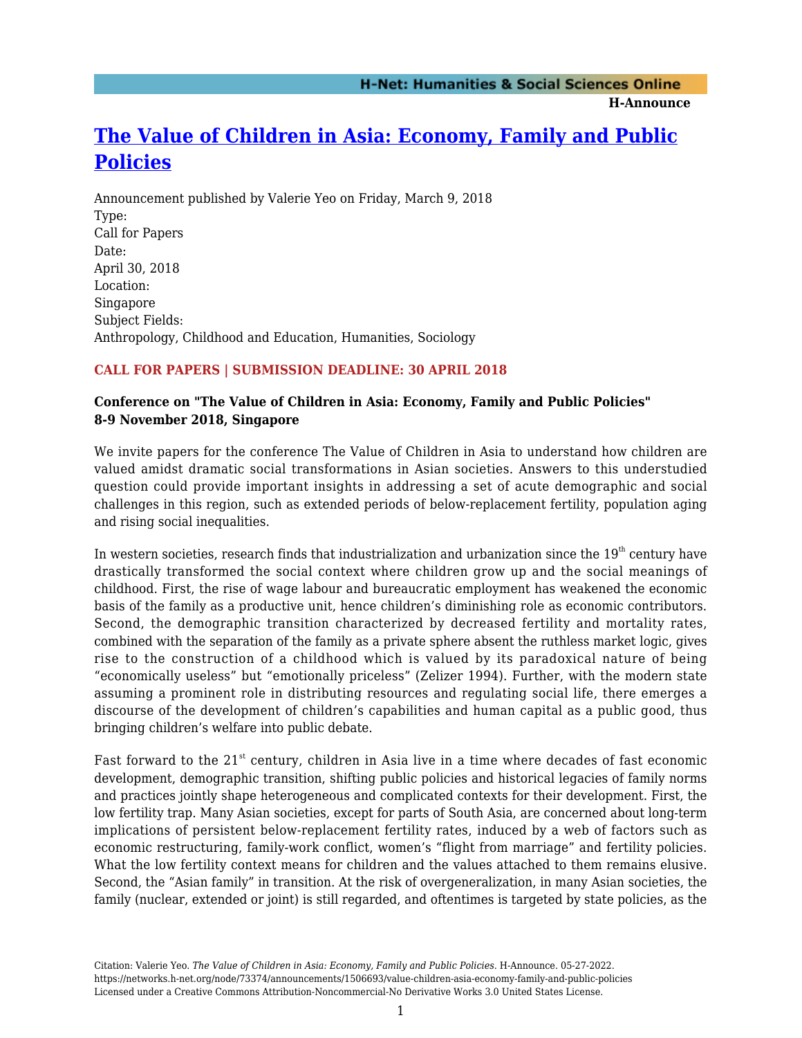**H-Announce** 

# **[The Value of Children in Asia: Economy, Family and Public](https://networks.h-net.org/node/73374/announcements/1506693/value-children-asia-economy-family-and-public-policies) [Policies](https://networks.h-net.org/node/73374/announcements/1506693/value-children-asia-economy-family-and-public-policies)**

Announcement published by Valerie Yeo on Friday, March 9, 2018 Type: Call for Papers Date: April 30, 2018 Location: Singapore Subject Fields: Anthropology, Childhood and Education, Humanities, Sociology

## **CALL FOR PAPERS | SUBMISSION DEADLINE: 30 APRIL 2018**

## **Conference on "The Value of Children in Asia: Economy, Family and Public Policies" 8-9 November 2018, Singapore**

We invite papers for the conference The Value of Children in Asia to understand how children are valued amidst dramatic social transformations in Asian societies. Answers to this understudied question could provide important insights in addressing a set of acute demographic and social challenges in this region, such as extended periods of below-replacement fertility, population aging and rising social inequalities.

In western societies, research finds that industrialization and urbanization since the  $19<sup>th</sup>$  century have drastically transformed the social context where children grow up and the social meanings of childhood. First, the rise of wage labour and bureaucratic employment has weakened the economic basis of the family as a productive unit, hence children's diminishing role as economic contributors. Second, the demographic transition characterized by decreased fertility and mortality rates, combined with the separation of the family as a private sphere absent the ruthless market logic, gives rise to the construction of a childhood which is valued by its paradoxical nature of being "economically useless" but "emotionally priceless" (Zelizer 1994). Further, with the modern state assuming a prominent role in distributing resources and regulating social life, there emerges a discourse of the development of children's capabilities and human capital as a public good, thus bringing children's welfare into public debate.

Fast forward to the 21<sup>st</sup> century, children in Asia live in a time where decades of fast economic development, demographic transition, shifting public policies and historical legacies of family norms and practices jointly shape heterogeneous and complicated contexts for their development. First, the low fertility trap. Many Asian societies, except for parts of South Asia, are concerned about long-term implications of persistent below-replacement fertility rates, induced by a web of factors such as economic restructuring, family-work conflict, women's "flight from marriage" and fertility policies. What the low fertility context means for children and the values attached to them remains elusive. Second, the "Asian family" in transition. At the risk of overgeneralization, in many Asian societies, the family (nuclear, extended or joint) is still regarded, and oftentimes is targeted by state policies, as the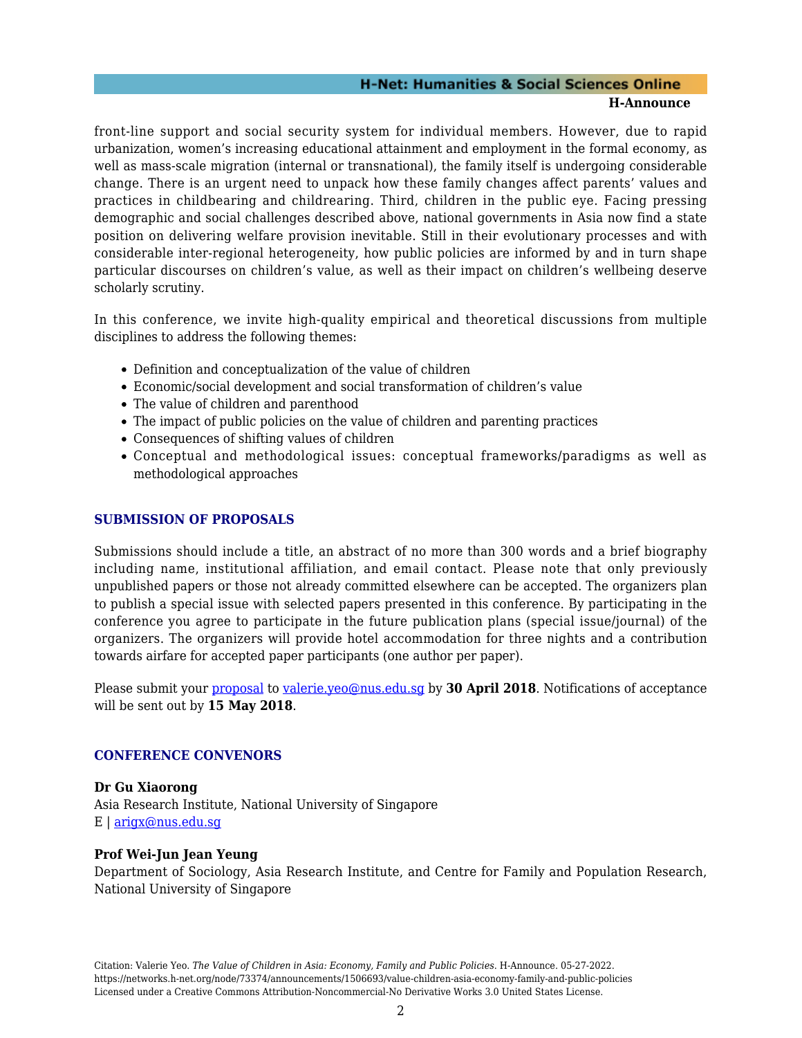## **H-Net: Humanities & Social Sciences Online**

#### **H-Announce**

front-line support and social security system for individual members. However, due to rapid urbanization, women's increasing educational attainment and employment in the formal economy, as well as mass-scale migration (internal or transnational), the family itself is undergoing considerable change. There is an urgent need to unpack how these family changes affect parents' values and practices in childbearing and childrearing. Third, children in the public eye. Facing pressing demographic and social challenges described above, national governments in Asia now find a state position on delivering welfare provision inevitable. Still in their evolutionary processes and with considerable inter-regional heterogeneity, how public policies are informed by and in turn shape particular discourses on children's value, as well as their impact on children's wellbeing deserve scholarly scrutiny.

In this conference, we invite high-quality empirical and theoretical discussions from multiple disciplines to address the following themes:

- Definition and conceptualization of the value of children
- Economic/social development and social transformation of children's value
- The value of children and parenthood
- The impact of public policies on the value of children and parenting practices
- Consequences of shifting values of children
- Conceptual and methodological issues: conceptual frameworks/paradigms as well as methodological approaches

### **SUBMISSION OF PROPOSALS**

Submissions should include a title, an abstract of no more than 300 words and a brief biography including name, institutional affiliation, and email contact. Please note that only previously unpublished papers or those not already committed elsewhere can be accepted. The organizers plan to publish a special issue with selected papers presented in this conference. By participating in the conference you agree to participate in the future publication plans (special issue/journal) of the organizers. The organizers will provide hotel accommodation for three nights and a contribution towards airfare for accepted paper participants (one author per paper).

Please submit your [proposal](https://ari.nus.edu.sg/Event/Detail/8447a19f-9aed-4b4d-8c49-48dbccd9a7ec) to [valerie.yeo@nus.edu.sg](mailto:valerie.yeo@nus.edu.sg?subject=The%20Value%20of%20Children%20in%20Asia%20(8-9%20Nov%202018)) by **30 April 2018**. Notifications of acceptance will be sent out by **15 May 2018**.

### **CONFERENCE CONVENORS**

**Dr Gu Xiaorong** Asia Research Institute, National University of Singapore E | [arigx@nus.edu.sg](mailto:arigx@nus.edu.sg)

## **Prof Wei-Jun Jean Yeung**

Department of Sociology, Asia Research Institute, and Centre for Family and Population Research, National University of Singapore

Citation: Valerie Yeo. *The Value of Children in Asia: Economy, Family and Public Policies*. H-Announce. 05-27-2022. https://networks.h-net.org/node/73374/announcements/1506693/value-children-asia-economy-family-and-public-policies Licensed under a Creative Commons Attribution-Noncommercial-No Derivative Works 3.0 United States License.